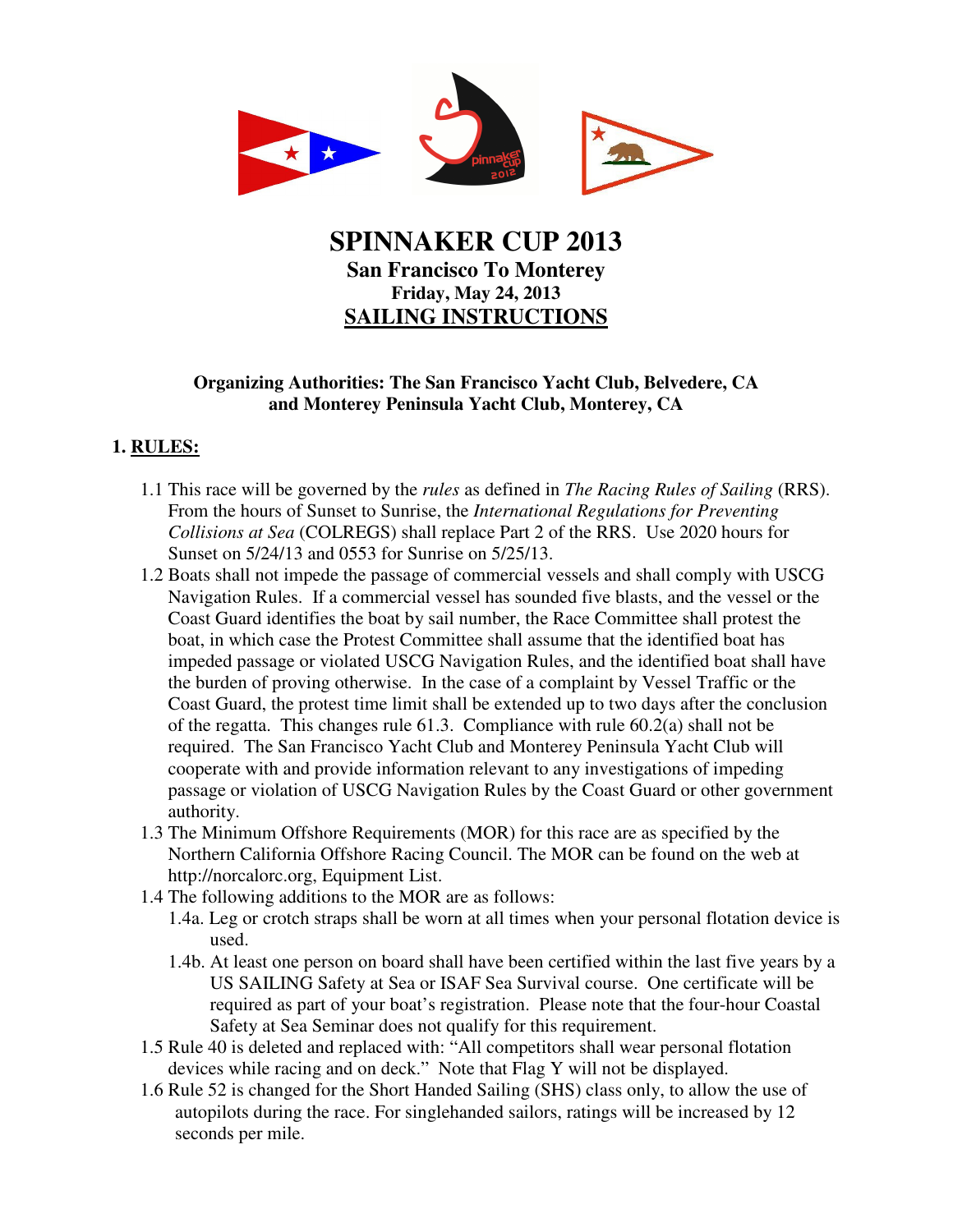

# **SPINNAKER CUP 2013 San Francisco To Monterey Friday, May 24, 2013 SAILING INSTRUCTIONS**

### **Organizing Authorities: The San Francisco Yacht Club, Belvedere, CA and Monterey Peninsula Yacht Club, Monterey, CA**

### **1. RULES:**

- 1.1 This race will be governed by the *rules* as defined in *The Racing Rules of Sailing* (RRS). From the hours of Sunset to Sunrise, the *International Regulations for Preventing Collisions at Sea* (COLREGS) shall replace Part 2 of the RRS. Use 2020 hours for Sunset on 5/24/13 and 0553 for Sunrise on 5/25/13.
- 1.2 Boats shall not impede the passage of commercial vessels and shall comply with USCG Navigation Rules. If a commercial vessel has sounded five blasts, and the vessel or the Coast Guard identifies the boat by sail number, the Race Committee shall protest the boat, in which case the Protest Committee shall assume that the identified boat has impeded passage or violated USCG Navigation Rules, and the identified boat shall have the burden of proving otherwise. In the case of a complaint by Vessel Traffic or the Coast Guard, the protest time limit shall be extended up to two days after the conclusion of the regatta. This changes rule 61.3. Compliance with rule 60.2(a) shall not be required. The San Francisco Yacht Club and Monterey Peninsula Yacht Club will cooperate with and provide information relevant to any investigations of impeding passage or violation of USCG Navigation Rules by the Coast Guard or other government authority.
- 1.3 The Minimum Offshore Requirements (MOR) for this race are as specified by the Northern California Offshore Racing Council. The MOR can be found on the web at http://norcalorc.org, Equipment List.
- 1.4 The following additions to the MOR are as follows:
	- 1.4a. Leg or crotch straps shall be worn at all times when your personal flotation device is used.
	- 1.4b. At least one person on board shall have been certified within the last five years by a US SAILING Safety at Sea or ISAF Sea Survival course. One certificate will be required as part of your boat's registration. Please note that the four-hour Coastal Safety at Sea Seminar does not qualify for this requirement.
- 1.5 Rule 40 is deleted and replaced with: "All competitors shall wear personal flotation devices while racing and on deck." Note that Flag Y will not be displayed.
- 1.6 Rule 52 is changed for the Short Handed Sailing (SHS) class only, to allow the use of autopilots during the race. For singlehanded sailors, ratings will be increased by 12 seconds per mile.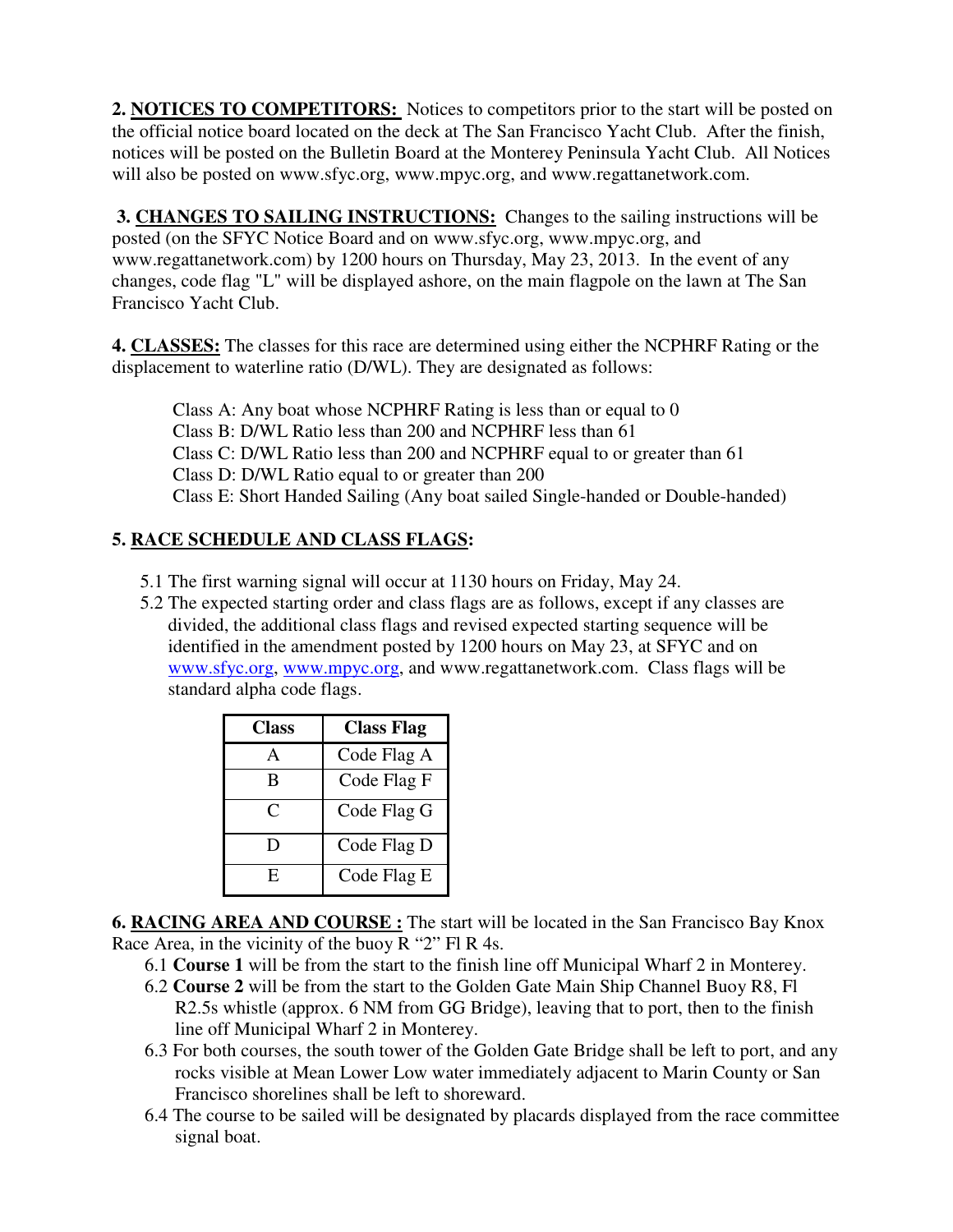**2. NOTICES TO COMPETITORS:** Notices to competitors prior to the start will be posted on the official notice board located on the deck at The San Francisco Yacht Club. After the finish, notices will be posted on the Bulletin Board at the Monterey Peninsula Yacht Club. All Notices will also be posted on www.sfyc.org, www.mpyc.org, and www.regattanetwork.com.

 **3. CHANGES TO SAILING INSTRUCTIONS:** Changes to the sailing instructions will be posted (on the SFYC Notice Board and on www.sfyc.org, www.mpyc.org, and www.regattanetwork.com) by 1200 hours on Thursday, May 23, 2013. In the event of any changes, code flag "L" will be displayed ashore, on the main flagpole on the lawn at The San Francisco Yacht Club.

**4. CLASSES:** The classes for this race are determined using either the NCPHRF Rating or the displacement to waterline ratio (D/WL). They are designated as follows:

 Class A: Any boat whose NCPHRF Rating is less than or equal to 0 Class B: D/WL Ratio less than 200 and NCPHRF less than 61 Class C: D/WL Ratio less than 200 and NCPHRF equal to or greater than 61 Class D: D/WL Ratio equal to or greater than 200 Class E: Short Handed Sailing (Any boat sailed Single-handed or Double-handed)

## **5. RACE SCHEDULE AND CLASS FLAGS:**

- 5.1 The first warning signal will occur at 1130 hours on Friday, May 24.
- 5.2 The expected starting order and class flags are as follows, except if any classes are divided, the additional class flags and revised expected starting sequence will be identified in the amendment posted by 1200 hours on May 23, at SFYC and on www.sfyc.org, www.mpyc.org, and www.regattanetwork.com. Class flags will be standard alpha code flags.

| Class | <b>Class Flag</b> |
|-------|-------------------|
|       | Code Flag A       |
| B     | Code Flag F       |
| C     | Code Flag G       |
| נ ו   | Code Flag D       |
| E,    | Code Flag E       |

**6. RACING AREA AND COURSE :** The start will be located in the San Francisco Bay Knox Race Area, in the vicinity of the buoy R "2" Fl R 4s.

- 6.1 **Course 1** will be from the start to the finish line off Municipal Wharf 2 in Monterey.
- 6.2 **Course 2** will be from the start to the Golden Gate Main Ship Channel Buoy R8, Fl R2.5s whistle (approx. 6 NM from GG Bridge), leaving that to port, then to the finish line off Municipal Wharf 2 in Monterey.
- 6.3 For both courses, the south tower of the Golden Gate Bridge shall be left to port, and any rocks visible at Mean Lower Low water immediately adjacent to Marin County or San Francisco shorelines shall be left to shoreward.
- 6.4 The course to be sailed will be designated by placards displayed from the race committee signal boat.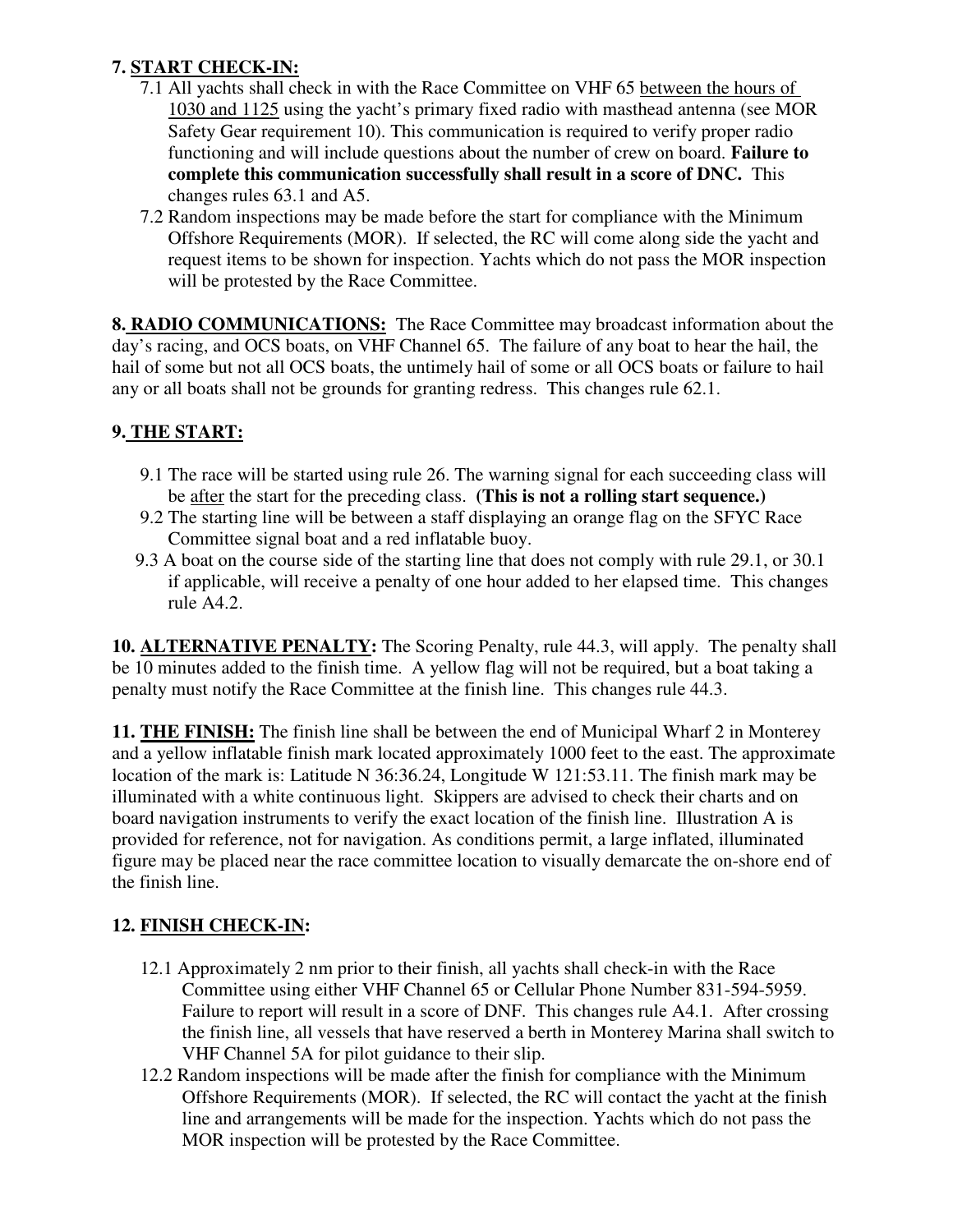# **7. START CHECK-IN:**

- 7.1 All yachts shall check in with the Race Committee on VHF 65 between the hours of 1030 and 1125 using the yacht's primary fixed radio with masthead antenna (see MOR Safety Gear requirement 10). This communication is required to verify proper radio functioning and will include questions about the number of crew on board. **Failure to complete this communication successfully shall result in a score of DNC.** This changes rules 63.1 and A5.
- 7.2 Random inspections may be made before the start for compliance with the Minimum Offshore Requirements (MOR). If selected, the RC will come along side the yacht and request items to be shown for inspection. Yachts which do not pass the MOR inspection will be protested by the Race Committee.

**8. RADIO COMMUNICATIONS:** The Race Committee may broadcast information about the day's racing, and OCS boats, on VHF Channel 65. The failure of any boat to hear the hail, the hail of some but not all OCS boats, the untimely hail of some or all OCS boats or failure to hail any or all boats shall not be grounds for granting redress. This changes rule 62.1.

## **9. THE START:**

- 9.1 The race will be started using rule 26. The warning signal for each succeeding class will be after the start for the preceding class. **(This is not a rolling start sequence.)**
- 9.2 The starting line will be between a staff displaying an orange flag on the SFYC Race Committee signal boat and a red inflatable buoy.
- 9.3 A boat on the course side of the starting line that does not comply with rule 29.1, or 30.1 if applicable, will receive a penalty of one hour added to her elapsed time. This changes rule A4.2.

**10. ALTERNATIVE PENALTY:** The Scoring Penalty, rule 44.3, will apply. The penalty shall be 10 minutes added to the finish time. A yellow flag will not be required, but a boat taking a penalty must notify the Race Committee at the finish line. This changes rule 44.3.

**11. THE FINISH:** The finish line shall be between the end of Municipal Wharf 2 in Monterey and a yellow inflatable finish mark located approximately 1000 feet to the east. The approximate location of the mark is: Latitude N 36:36.24, Longitude W 121:53.11. The finish mark may be illuminated with a white continuous light. Skippers are advised to check their charts and on board navigation instruments to verify the exact location of the finish line. Illustration A is provided for reference, not for navigation. As conditions permit, a large inflated, illuminated figure may be placed near the race committee location to visually demarcate the on-shore end of the finish line.

# **12. FINISH CHECK-IN:**

- 12.1 Approximately 2 nm prior to their finish, all yachts shall check-in with the Race Committee using either VHF Channel 65 or Cellular Phone Number 831-594-5959. Failure to report will result in a score of DNF. This changes rule A4.1. After crossing the finish line, all vessels that have reserved a berth in Monterey Marina shall switch to VHF Channel 5A for pilot guidance to their slip.
- 12.2 Random inspections will be made after the finish for compliance with the Minimum Offshore Requirements (MOR). If selected, the RC will contact the yacht at the finish line and arrangements will be made for the inspection. Yachts which do not pass the MOR inspection will be protested by the Race Committee.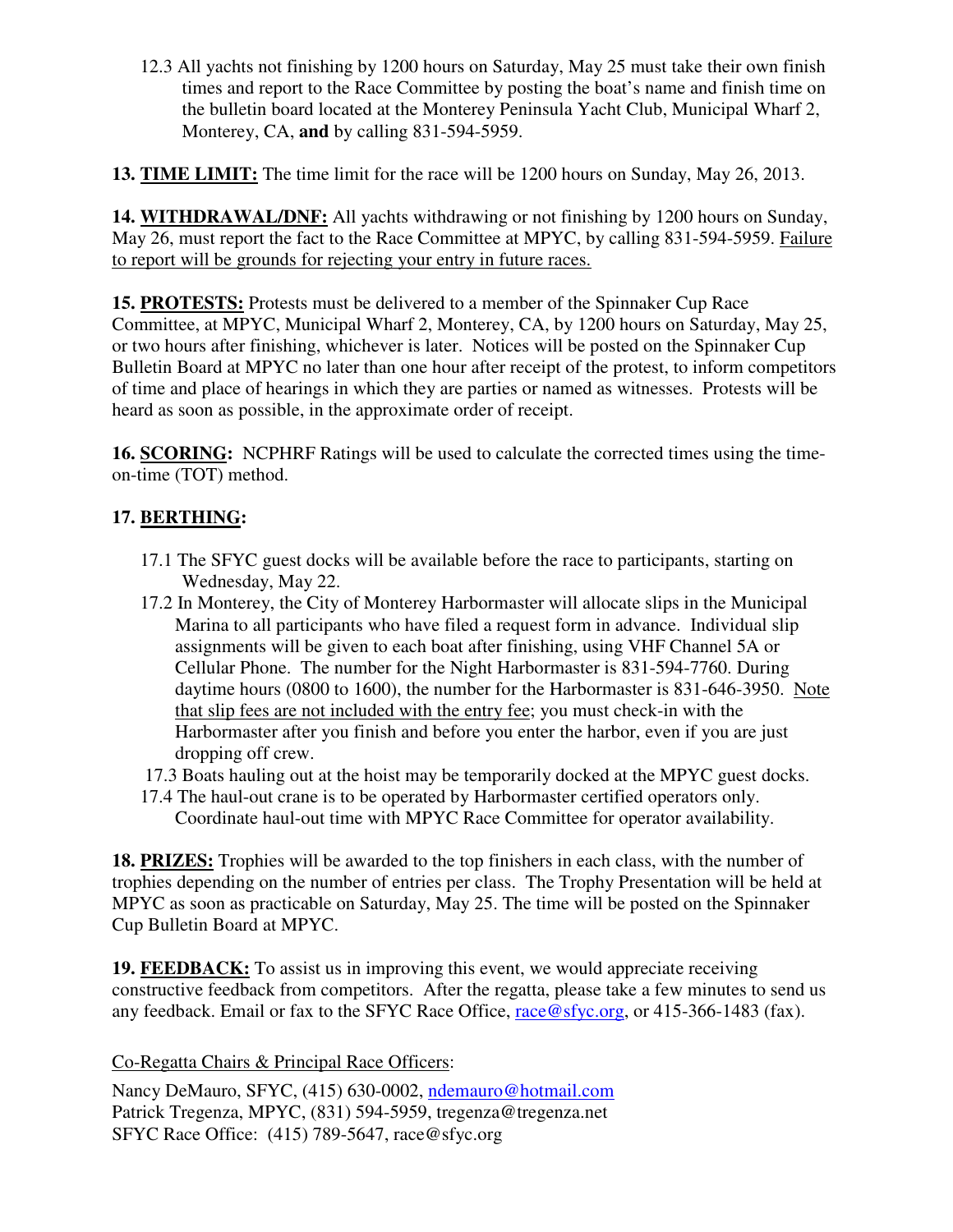12.3 All yachts not finishing by 1200 hours on Saturday, May 25 must take their own finish times and report to the Race Committee by posting the boat's name and finish time on the bulletin board located at the Monterey Peninsula Yacht Club, Municipal Wharf 2, Monterey, CA, **and** by calling 831-594-5959.

**13. TIME LIMIT:** The time limit for the race will be 1200 hours on Sunday, May 26, 2013.

**14. WITHDRAWAL/DNF:** All yachts withdrawing or not finishing by 1200 hours on Sunday, May 26, must report the fact to the Race Committee at MPYC, by calling 831-594-5959. Failure to report will be grounds for rejecting your entry in future races.

**15. PROTESTS:** Protests must be delivered to a member of the Spinnaker Cup Race Committee, at MPYC, Municipal Wharf 2, Monterey, CA, by 1200 hours on Saturday, May 25, or two hours after finishing, whichever is later. Notices will be posted on the Spinnaker Cup Bulletin Board at MPYC no later than one hour after receipt of the protest, to inform competitors of time and place of hearings in which they are parties or named as witnesses. Protests will be heard as soon as possible, in the approximate order of receipt.

**16. SCORING:** NCPHRF Ratings will be used to calculate the corrected times using the timeon-time (TOT) method.

# **17. BERTHING:**

- 17.1 The SFYC guest docks will be available before the race to participants, starting on Wednesday, May 22.
- 17.2 In Monterey, the City of Monterey Harbormaster will allocate slips in the Municipal Marina to all participants who have filed a request form in advance. Individual slip assignments will be given to each boat after finishing, using VHF Channel 5A or Cellular Phone. The number for the Night Harbormaster is 831-594-7760. During daytime hours (0800 to 1600), the number for the Harbormaster is 831-646-3950. Note that slip fees are not included with the entry fee; you must check-in with the Harbormaster after you finish and before you enter the harbor, even if you are just dropping off crew.
- 17.3 Boats hauling out at the hoist may be temporarily docked at the MPYC guest docks.
- 17.4 The haul-out crane is to be operated by Harbormaster certified operators only. Coordinate haul-out time with MPYC Race Committee for operator availability.

**18. PRIZES:** Trophies will be awarded to the top finishers in each class, with the number of trophies depending on the number of entries per class. The Trophy Presentation will be held at MPYC as soon as practicable on Saturday, May 25. The time will be posted on the Spinnaker Cup Bulletin Board at MPYC.

**19. FEEDBACK:** To assist us in improving this event, we would appreciate receiving constructive feedback from competitors. After the regatta, please take a few minutes to send us any feedback. Email or fax to the SFYC Race Office, race @sfyc.org, or 415-366-1483 (fax).

Co-Regatta Chairs & Principal Race Officers:

Nancy DeMauro, SFYC, (415) 630-0002, ndemauro@hotmail.com Patrick Tregenza, MPYC, (831) 594-5959, tregenza@tregenza.net SFYC Race Office: (415) 789-5647, race@sfyc.org